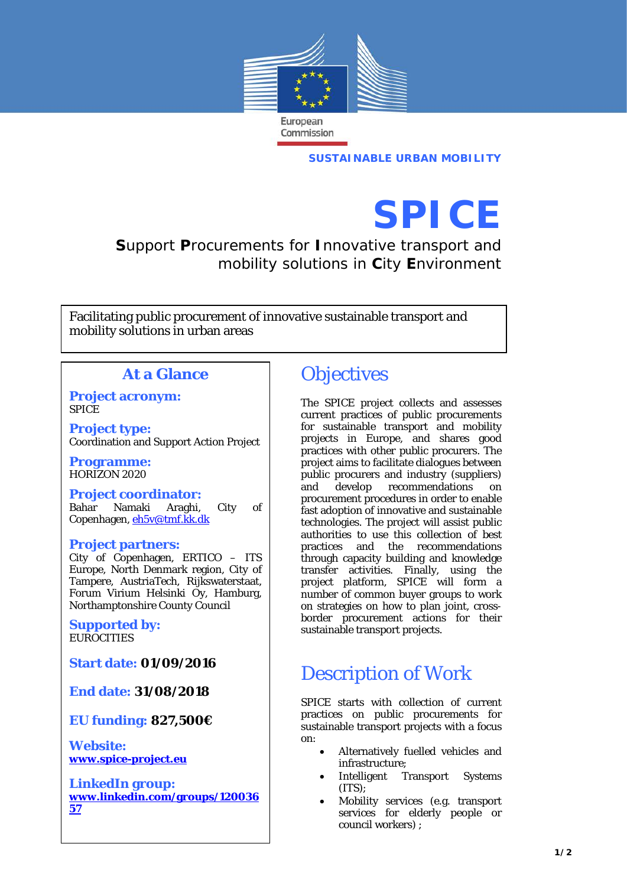

**SUSTAINABLE URBAN MOBILITY**

# **SPICE**

**S**upport **P**rocurements for **I**nnovative transport and mobility solutions in **C**ity **E**nvironment

Facilitating public procurement of innovative sustainable transport and mobility solutions in urban areas

#### **At a Glance**

**Project acronym:** SPICE

**Project type:** Coordination and Support Action Project

**Programme:** HORIZON 2020

**Project coordinator:** Bahar Namaki Araghi, City of Copenhagen, [eh5v@tmf.kk.dk](mailto:eh5v@tmf.kk.dk)

#### **Project partners:**

City of Copenhagen, ERTICO – ITS Europe, North Denmark region, City of Tampere, AustriaTech, Rijkswaterstaat, Forum Virium Helsinki Oy, Hamburg, Northamptonshire County Council

**Supported by: EUROCITIES** 

**Start date: 01/09/2016**

**End date: 31/08/2018**

**EU funding: 827,500€**

**Website: [www.spice-project.eu](http://www.spice-project.eu/)**

**LinkedIn group: [www.linkedin.com/groups/120036](http://www.linkedin.com/groups/12003657) [57](http://www.linkedin.com/groups/12003657)**

## **Objectives**

The SPICE project collects and assesses current practices of public procurements for sustainable transport and mobility projects in Europe, and shares good practices with other public procurers. The project aims to facilitate dialogues between public procurers and industry (suppliers) and develop recommendations on procurement procedures in order to enable fast adoption of innovative and sustainable technologies. The project will assist public authorities to use this collection of best practices and the recommendations through capacity building and knowledge transfer activities. Finally, using the project platform, SPICE will form a number of common buyer groups to work on strategies on how to plan joint, crossborder procurement actions for their sustainable transport projects.

## Description of Work

SPICE starts with collection of current practices on public procurements for sustainable transport projects with a focus on:

- Alternatively fuelled vehicles and infrastructure;
- Intelligent Transport Systems (ITS);
- Mobility services (e.g. transport services for elderly people or council workers) ;